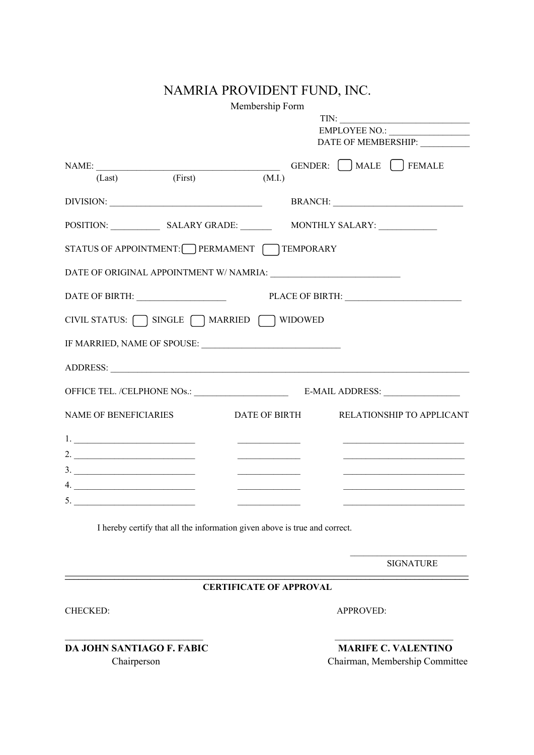## NAMRIA PROVIDENT FUND, INC.

Membership Form

|                                                                                                                                                                                                                                                                                                                                                                                                                                        |         |                                                                                                                                                                                                                                      | TIN:                                                                                                                  |                  |
|----------------------------------------------------------------------------------------------------------------------------------------------------------------------------------------------------------------------------------------------------------------------------------------------------------------------------------------------------------------------------------------------------------------------------------------|---------|--------------------------------------------------------------------------------------------------------------------------------------------------------------------------------------------------------------------------------------|-----------------------------------------------------------------------------------------------------------------------|------------------|
|                                                                                                                                                                                                                                                                                                                                                                                                                                        |         |                                                                                                                                                                                                                                      | EMPLOYEE NO.:                                                                                                         |                  |
|                                                                                                                                                                                                                                                                                                                                                                                                                                        |         |                                                                                                                                                                                                                                      | DATE OF MEMBERSHIP:                                                                                                   |                  |
| NAME:                                                                                                                                                                                                                                                                                                                                                                                                                                  |         |                                                                                                                                                                                                                                      | GENDER: MALE [ ] FEMALE                                                                                               |                  |
| (Last)                                                                                                                                                                                                                                                                                                                                                                                                                                 | (First) | (M.I.)                                                                                                                                                                                                                               |                                                                                                                       |                  |
|                                                                                                                                                                                                                                                                                                                                                                                                                                        |         |                                                                                                                                                                                                                                      |                                                                                                                       |                  |
|                                                                                                                                                                                                                                                                                                                                                                                                                                        |         |                                                                                                                                                                                                                                      |                                                                                                                       |                  |
|                                                                                                                                                                                                                                                                                                                                                                                                                                        |         | STATUS OF APPOINTMENT: PERMAMENT TEMPORARY                                                                                                                                                                                           |                                                                                                                       |                  |
|                                                                                                                                                                                                                                                                                                                                                                                                                                        |         |                                                                                                                                                                                                                                      |                                                                                                                       |                  |
|                                                                                                                                                                                                                                                                                                                                                                                                                                        |         |                                                                                                                                                                                                                                      | PLACE OF BIRTH:                                                                                                       |                  |
|                                                                                                                                                                                                                                                                                                                                                                                                                                        |         | CIVIL STATUS:   SINGLE   MARRIED   WIDOWED                                                                                                                                                                                           |                                                                                                                       |                  |
|                                                                                                                                                                                                                                                                                                                                                                                                                                        |         |                                                                                                                                                                                                                                      |                                                                                                                       |                  |
|                                                                                                                                                                                                                                                                                                                                                                                                                                        |         |                                                                                                                                                                                                                                      |                                                                                                                       |                  |
|                                                                                                                                                                                                                                                                                                                                                                                                                                        |         |                                                                                                                                                                                                                                      |                                                                                                                       |                  |
| <b>NAME OF BENEFICIARIES</b>                                                                                                                                                                                                                                                                                                                                                                                                           |         | DATE OF BIRTH                                                                                                                                                                                                                        | RELATIONSHIP TO APPLICANT                                                                                             |                  |
| $\begin{tabular}{ c c c c } \hline $1$, & \begin{tabular}{ c c c c } \hline \multicolumn{1}{ c }{\textbf{1}} & \multicolumn{1}{ c }{\textbf{1}} & \multicolumn{1}{ c }{\textbf{1}} & \multicolumn{1}{ c }{\textbf{1}} & \multicolumn{1}{ c }{\textbf{1}} & \multicolumn{1}{ c }{\textbf{1}} & \multicolumn{1}{ c }{\textbf{1}} & \multicolumn{1}{ c }{\textbf{1}} & \multicolumn{1}{ c }{\textbf{1}} & \multicolumn{1}{ c }{\textbf{1$ |         |                                                                                                                                                                                                                                      |                                                                                                                       |                  |
| 2. $\frac{1}{2}$ $\frac{1}{2}$ $\frac{1}{2}$ $\frac{1}{2}$ $\frac{1}{2}$ $\frac{1}{2}$ $\frac{1}{2}$ $\frac{1}{2}$ $\frac{1}{2}$ $\frac{1}{2}$ $\frac{1}{2}$ $\frac{1}{2}$ $\frac{1}{2}$ $\frac{1}{2}$ $\frac{1}{2}$ $\frac{1}{2}$ $\frac{1}{2}$ $\frac{1}{2}$ $\frac{1}{2}$ $\frac{1}{2}$ $\frac{1}{2}$ $\frac{1}{2}$                                                                                                                 |         | <u>and the company of the company of the company of the company of the company of the company of the company of the company of the company of the company of the company of the company of the company of the company of the com</u> | the control of the control of the control of the control of the control of                                            |                  |
|                                                                                                                                                                                                                                                                                                                                                                                                                                        |         | <u> Liston de la construcción de la construcción de la construcción de la construcción de la construcción de la c</u>                                                                                                                | <u> 1989 - Johann Barbara, martin amerikan basal dan berasal dalam basal dalam basal dalam basal dalam basal dala</u> |                  |
| 4.                                                                                                                                                                                                                                                                                                                                                                                                                                     |         |                                                                                                                                                                                                                                      |                                                                                                                       |                  |
|                                                                                                                                                                                                                                                                                                                                                                                                                                        |         |                                                                                                                                                                                                                                      |                                                                                                                       |                  |
|                                                                                                                                                                                                                                                                                                                                                                                                                                        |         | I hereby certify that all the information given above is true and correct.                                                                                                                                                           |                                                                                                                       |                  |
|                                                                                                                                                                                                                                                                                                                                                                                                                                        |         |                                                                                                                                                                                                                                      |                                                                                                                       | <b>SIGNATURE</b> |
|                                                                                                                                                                                                                                                                                                                                                                                                                                        |         | <b>CERTIFICATE OF APPROVAL</b>                                                                                                                                                                                                       |                                                                                                                       |                  |
| <b>CHECKED:</b>                                                                                                                                                                                                                                                                                                                                                                                                                        |         |                                                                                                                                                                                                                                      | APPROVED:                                                                                                             |                  |

**DA JOHN SANTIAGO F. FABIC MARIFE C. VALENTINO**

Chairperson Chairman, Membership Committee